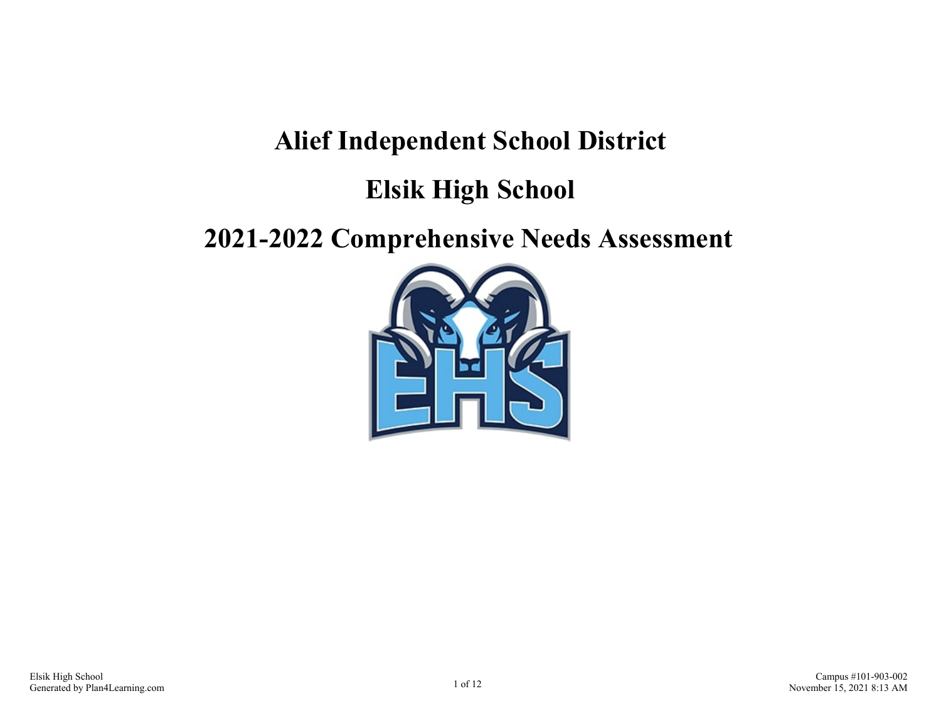# **Alief Independent School District**

# **Elsik High School**

# **2021-2022 Comprehensive Needs Assessment**

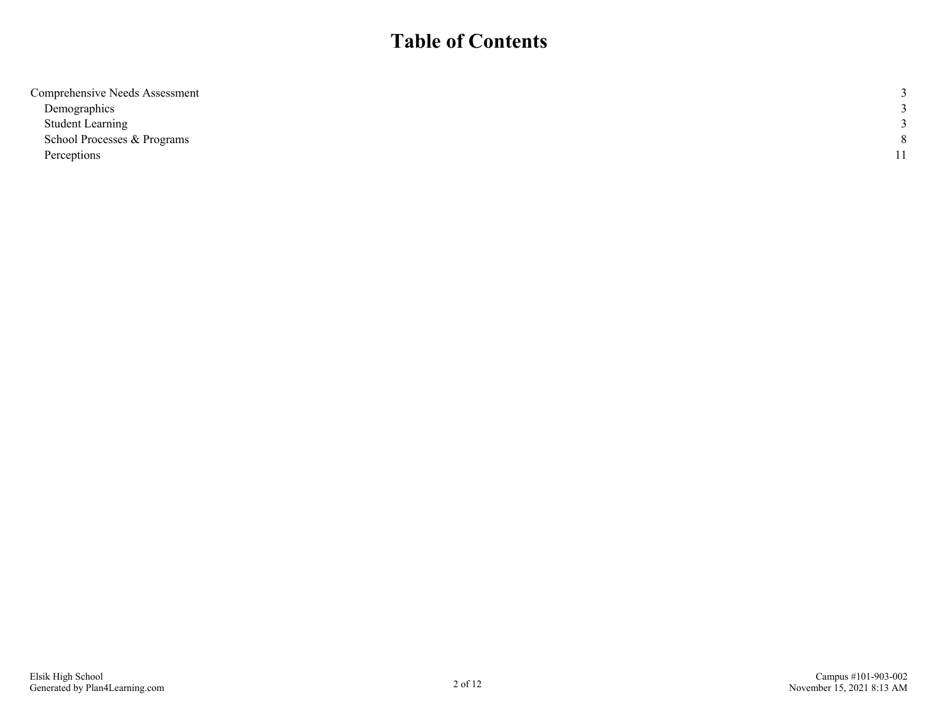# **Table of Contents**

| Comprehensive Needs Assessment |   |
|--------------------------------|---|
| Demographics                   |   |
| <b>Student Learning</b>        |   |
| School Processes & Programs    | 8 |
| Perceptions                    |   |
|                                |   |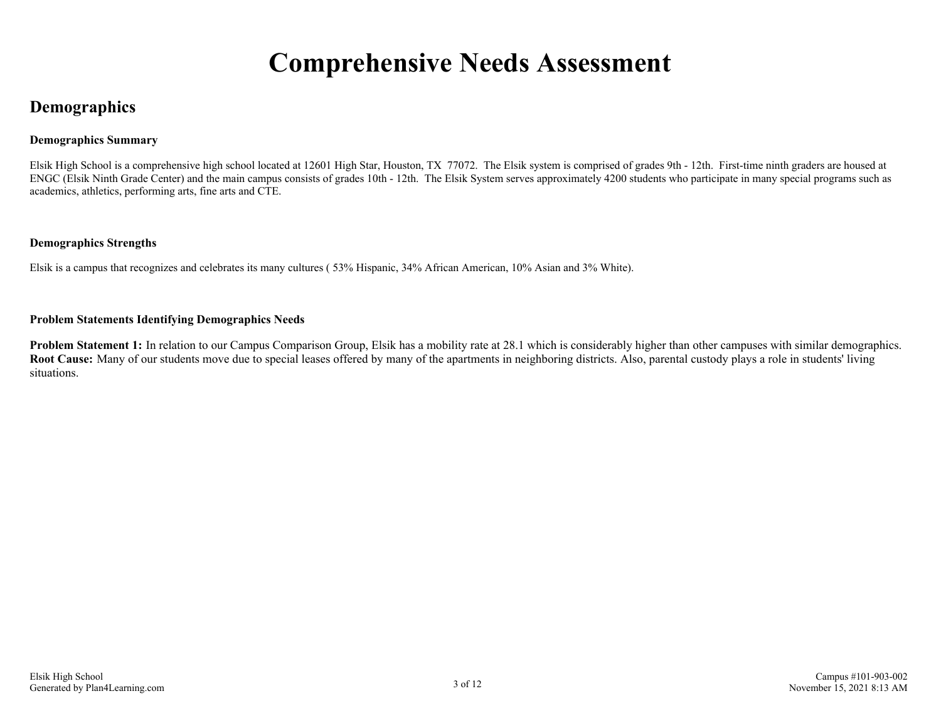# **Comprehensive Needs Assessment**

# <span id="page-2-0"></span>**Demographics**

### **Demographics Summary**

Elsik High School is a comprehensive high school located at 12601 High Star, Houston, TX 77072. The Elsik system is comprised of grades 9th - 12th. First-time ninth graders are housed at ENGC (Elsik Ninth Grade Center) and the main campus consists of grades 10th - 12th. The Elsik System serves approximately 4200 students who participate in many special programs such as academics, athletics, performing arts, fine arts and CTE.

#### **Demographics Strengths**

Elsik is a campus that recognizes and celebrates its many cultures ( 53% Hispanic, 34% African American, 10% Asian and 3% White).

#### **Problem Statements Identifying Demographics Needs**

Problem Statement 1: In relation to our Campus Comparison Group, Elsik has a mobility rate at 28.1 which is considerably higher than other campuses with similar demographics. **Root Cause:** Many of our students move due to special leases offered by many of the apartments in neighboring districts. Also, parental custody plays a role in students' living situations.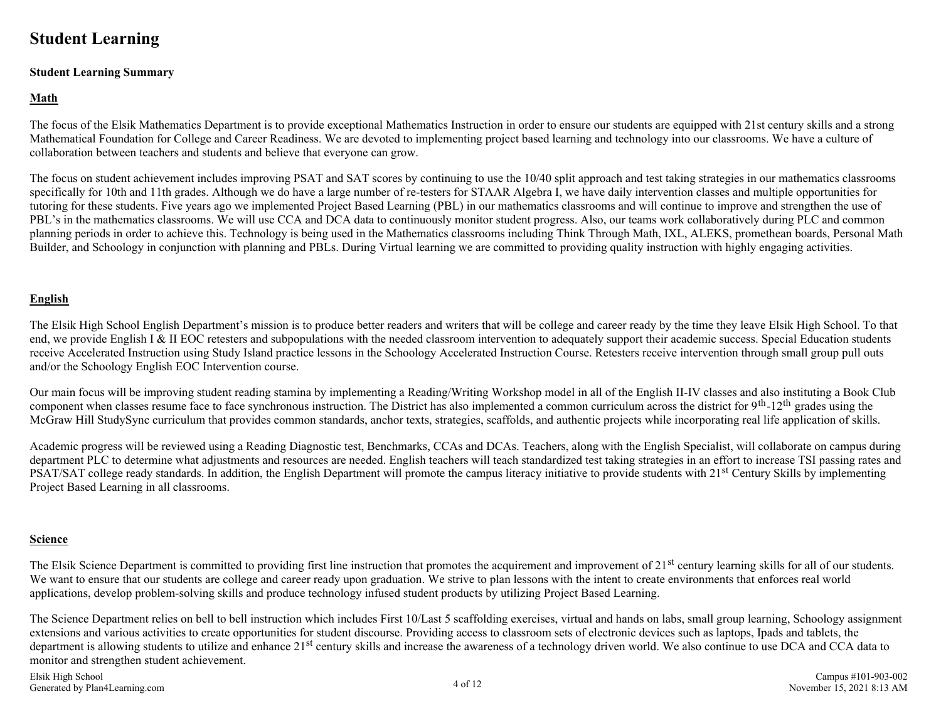# <span id="page-3-0"></span>**Student Learning**

#### **Student Learning Summary**

## **Math**

The focus of the Elsik Mathematics Department is to provide exceptional Mathematics Instruction in order to ensure our students are equipped with 21st century skills and a strong Mathematical Foundation for College and Career Readiness. We are devoted to implementing project based learning and technology into our classrooms. We have a culture of collaboration between teachers and students and believe that everyone can grow.

The focus on student achievement includes improving PSAT and SAT scores by continuing to use the 10/40 split approach and test taking strategies in our mathematics classrooms specifically for 10th and 11th grades. Although we do have a large number of re-testers for STAAR Algebra I, we have daily intervention classes and multiple opportunities for tutoring for these students. Five years ago we implemented Project Based Learning (PBL) in our mathematics classrooms and will continue to improve and strengthen the use of PBL's in the mathematics classrooms. We will use CCA and DCA data to continuously monitor student progress. Also, our teams work collaboratively during PLC and common planning periods in order to achieve this. Technology is being used in the Mathematics classrooms including Think Through Math, IXL, ALEKS, promethean boards, Personal Math Builder, and Schoology in conjunction with planning and PBLs. During Virtual learning we are committed to providing quality instruction with highly engaging activities.

## **English**

The Elsik High School English Department's mission is to produce better readers and writers that will be college and career ready by the time they leave Elsik High School. To that end, we provide English I & II EOC retesters and subpopulations with the needed classroom intervention to adequately support their academic success. Special Education students receive Accelerated Instruction using Study Island practice lessons in the Schoology Accelerated Instruction Course. Retesters receive intervention through small group pull outs and/or the Schoology English EOC Intervention course.

Our main focus will be improving student reading stamina by implementing a Reading/Writing Workshop model in all of the English II-IV classes and also instituting a Book Club component when classes resume face to face synchronous instruction. The District has also implemented a common curriculum across the district for 9<sup>th</sup>-12<sup>th</sup> grades using the McGraw Hill StudySync curriculum that provides common standards, anchor texts, strategies, scaffolds, and authentic projects while incorporating real life application of skills.

Academic progress will be reviewed using a Reading Diagnostic test, Benchmarks, CCAs and DCAs. Teachers, along with the English Specialist, will collaborate on campus during department PLC to determine what adjustments and resources are needed. English teachers will teach standardized test taking strategies in an effort to increase TSI passing rates and PSAT/SAT college ready standards. In addition, the English Department will promote the campus literacy initiative to provide students with 21<sup>st</sup> Century Skills by implementing Project Based Learning in all classrooms.

#### **Science**

The Elsik Science Department is committed to providing first line instruction that promotes the acquirement and improvement of 21<sup>st</sup> century learning skills for all of our students. We want to ensure that our students are college and career ready upon graduation. We strive to plan lessons with the intent to create environments that enforces real world applications, develop problem-solving skills and produce technology infused student products by utilizing Project Based Learning.

The Science Department relies on bell to bell instruction which includes First 10/Last 5 scaffolding exercises, virtual and hands on labs, small group learning, Schoology assignment extensions and various activities to create opportunities for student discourse. Providing access to classroom sets of electronic devices such as laptops, Ipads and tablets, the department is allowing students to utilize and enhance 21<sup>st</sup> century skills and increase the awareness of a technology driven world. We also continue to use DCA and CCA data to monitor and strengthen student achievement.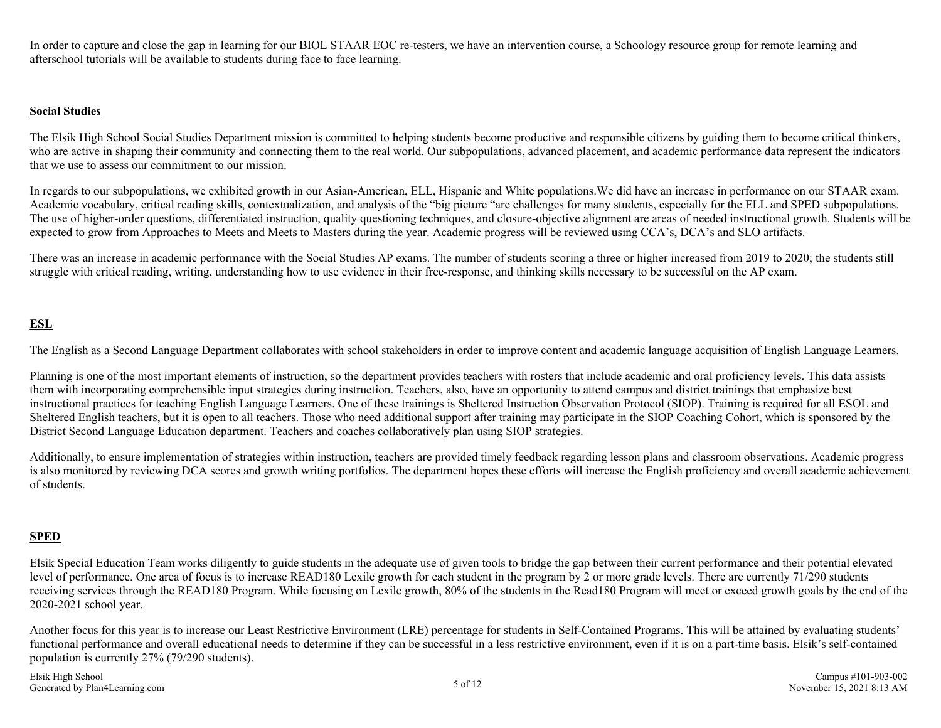In order to capture and close the gap in learning for our BIOL STAAR EOC re-testers, we have an intervention course, a Schoology resource group for remote learning and afterschool tutorials will be available to students during face to face learning.

#### **Social Studies**

The Elsik High School Social Studies Department mission is committed to helping students become productive and responsible citizens by guiding them to become critical thinkers, who are active in shaping their community and connecting them to the real world. Our subpopulations, advanced placement, and academic performance data represent the indicators that we use to assess our commitment to our mission.

In regards to our subpopulations, we exhibited growth in our Asian-American, ELL, Hispanic and White populations.We did have an increase in performance on our STAAR exam. Academic vocabulary, critical reading skills, contextualization, and analysis of the "big picture "are challenges for many students, especially for the ELL and SPED subpopulations. The use of higher-order questions, differentiated instruction, quality questioning techniques, and closure-objective alignment are areas of needed instructional growth. Students will be expected to grow from Approaches to Meets and Meets to Masters during the year. Academic progress will be reviewed using CCA's, DCA's and SLO artifacts.

There was an increase in academic performance with the Social Studies AP exams. The number of students scoring a three or higher increased from 2019 to 2020; the students still struggle with critical reading, writing, understanding how to use evidence in their free-response, and thinking skills necessary to be successful on the AP exam.

## **ESL**

The English as a Second Language Department collaborates with school stakeholders in order to improve content and academic language acquisition of English Language Learners.

Planning is one of the most important elements of instruction, so the department provides teachers with rosters that include academic and oral proficiency levels. This data assists them with incorporating comprehensible input strategies during instruction. Teachers, also, have an opportunity to attend campus and district trainings that emphasize best instructional practices for teaching English Language Learners. One of these trainings is Sheltered Instruction Observation Protocol (SIOP). Training is required for all ESOL and Sheltered English teachers, but it is open to all teachers. Those who need additional support after training may participate in the SIOP Coaching Cohort, which is sponsored by the District Second Language Education department. Teachers and coaches collaboratively plan using SIOP strategies.

Additionally, to ensure implementation of strategies within instruction, teachers are provided timely feedback regarding lesson plans and classroom observations. Academic progress is also monitored by reviewing DCA scores and growth writing portfolios. The department hopes these efforts will increase the English proficiency and overall academic achievement of students.

## **SPED**

Elsik Special Education Team works diligently to guide students in the adequate use of given tools to bridge the gap between their current performance and their potential elevated level of performance. One area of focus is to increase READ180 Lexile growth for each student in the program by 2 or more grade levels. There are currently 71/290 students receiving services through the READ180 Program. While focusing on Lexile growth, 80% of the students in the Read180 Program will meet or exceed growth goals by the end of the 2020-2021 school year.

Another focus for this year is to increase our Least Restrictive Environment (LRE) percentage for students in Self-Contained Programs. This will be attained by evaluating students' functional performance and overall educational needs to determine if they can be successful in a less restrictive environment, even if it is on a part-time basis. Elsik's self-contained population is currently 27% (79/290 students).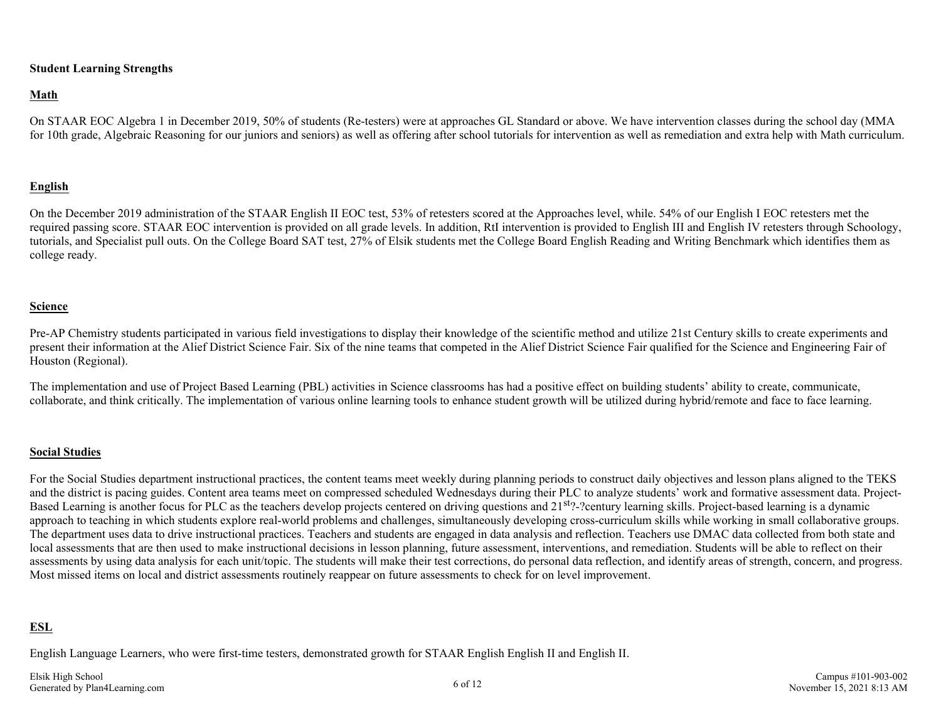#### **Student Learning Strengths**

#### **Math**

On STAAR EOC Algebra 1 in December 2019, 50% of students (Re-testers) were at approaches GL Standard or above. We have intervention classes during the school day (MMA for 10th grade, Algebraic Reasoning for our juniors and seniors) as well as offering after school tutorials for intervention as well as remediation and extra help with Math curriculum.

#### **English**

On the December 2019 administration of the STAAR English II EOC test, 53% of retesters scored at the Approaches level, while. 54% of our English I EOC retesters met the required passing score. STAAR EOC intervention is provided on all grade levels. In addition, RtI intervention is provided to English III and English IV retesters through Schoology, tutorials, and Specialist pull outs. On the College Board SAT test, 27% of Elsik students met the College Board English Reading and Writing Benchmark which identifies them as college ready.

#### **Science**

Pre-AP Chemistry students participated in various field investigations to display their knowledge of the scientific method and utilize 21st Century skills to create experiments and present their information at the Alief District Science Fair. Six of the nine teams that competed in the Alief District Science Fair qualified for the Science and Engineering Fair of Houston (Regional).

The implementation and use of Project Based Learning (PBL) activities in Science classrooms has had a positive effect on building students' ability to create, communicate, collaborate, and think critically. The implementation of various online learning tools to enhance student growth will be utilized during hybrid/remote and face to face learning.

#### **Social Studies**

For the Social Studies department instructional practices, the content teams meet weekly during planning periods to construct daily objectives and lesson plans aligned to the TEKS and the district is pacing guides. Content area teams meet on compressed scheduled Wednesdays during their PLC to analyze students' work and formative assessment data. Project-Based Learning is another focus for PLC as the teachers develop projects centered on driving questions and 21<sup>st</sup>?-?century learning skills. Project-based learning is a dynamic approach to teaching in which students explore real-world problems and challenges, simultaneously developing cross-curriculum skills while working in small collaborative groups. The department uses data to drive instructional practices. Teachers and students are engaged in data analysis and reflection. Teachers use DMAC data collected from both state and local assessments that are then used to make instructional decisions in lesson planning, future assessment, interventions, and remediation. Students will be able to reflect on their assessments by using data analysis for each unit/topic. The students will make their test corrections, do personal data reflection, and identify areas of strength, concern, and progress. Most missed items on local and district assessments routinely reappear on future assessments to check for on level improvement.

### **ESL**

English Language Learners, who were first-time testers, demonstrated growth for STAAR English English II and English II.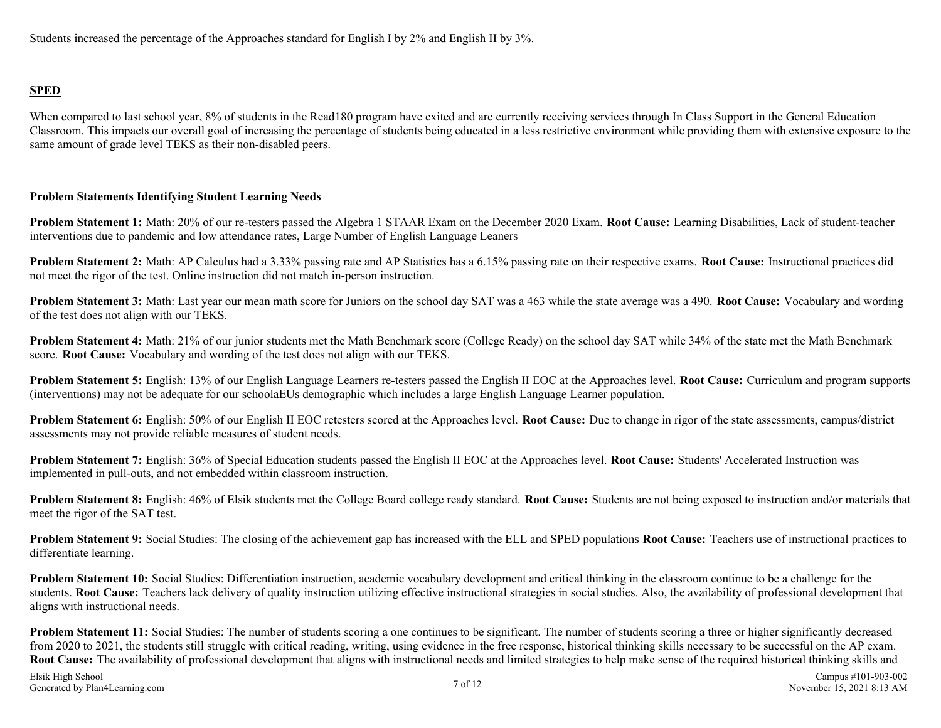## **SPED**

When compared to last school year, 8% of students in the Read180 program have exited and are currently receiving services through In Class Support in the General Education Classroom. This impacts our overall goal of increasing the percentage of students being educated in a less restrictive environment while providing them with extensive exposure to the same amount of grade level TEKS as their non-disabled peers.

### **Problem Statements Identifying Student Learning Needs**

**Problem Statement 1:** Math: 20% of our re-testers passed the Algebra 1 STAAR Exam on the December 2020 Exam. **Root Cause:** Learning Disabilities, Lack of student-teacher interventions due to pandemic and low attendance rates, Large Number of English Language Leaners

**Problem Statement 2:** Math: AP Calculus had a 3.33% passing rate and AP Statistics has a 6.15% passing rate on their respective exams. **Root Cause:** Instructional practices did not meet the rigor of the test. Online instruction did not match in-person instruction.

**Problem Statement 3:** Math: Last year our mean math score for Juniors on the school day SAT was a 463 while the state average was a 490. **Root Cause:** Vocabulary and wording of the test does not align with our TEKS.

**Problem Statement 4:** Math: 21% of our junior students met the Math Benchmark score (College Ready) on the school day SAT while 34% of the state met the Math Benchmark score. **Root Cause:** Vocabulary and wording of the test does not align with our TEKS.

**Problem Statement 5:** English: 13% of our English Language Learners re-testers passed the English II EOC at the Approaches level. **Root Cause:** Curriculum and program supports (interventions) may not be adequate for our schoolaEUs demographic which includes a large English Language Learner population.

**Problem Statement 6:** English: 50% of our English II EOC retesters scored at the Approaches level. **Root Cause:** Due to change in rigor of the state assessments, campus/district assessments may not provide reliable measures of student needs.

**Problem Statement 7:** English: 36% of Special Education students passed the English II EOC at the Approaches level. **Root Cause:** Students' Accelerated Instruction was implemented in pull-outs, and not embedded within classroom instruction.

**Problem Statement 8:** English: 46% of Elsik students met the College Board college ready standard. **Root Cause:** Students are not being exposed to instruction and/or materials that meet the rigor of the SAT test.

**Problem Statement 9:** Social Studies: The closing of the achievement gap has increased with the ELL and SPED populations **Root Cause:** Teachers use of instructional practices to differentiate learning.

**Problem Statement 10:** Social Studies: Differentiation instruction, academic vocabulary development and critical thinking in the classroom continue to be a challenge for the students. **Root Cause:** Teachers lack delivery of quality instruction utilizing effective instructional strategies in social studies. Also, the availability of professional development that aligns with instructional needs.

**Problem Statement 11:** Social Studies: The number of students scoring a one continues to be significant. The number of students scoring a three or higher significantly decreased from 2020 to 2021, the students still struggle with critical reading, writing, using evidence in the free response, historical thinking skills necessary to be successful on the AP exam. **Root Cause:** The availability of professional development that aligns with instructional needs and limited strategies to help make sense of the required historical thinking skills and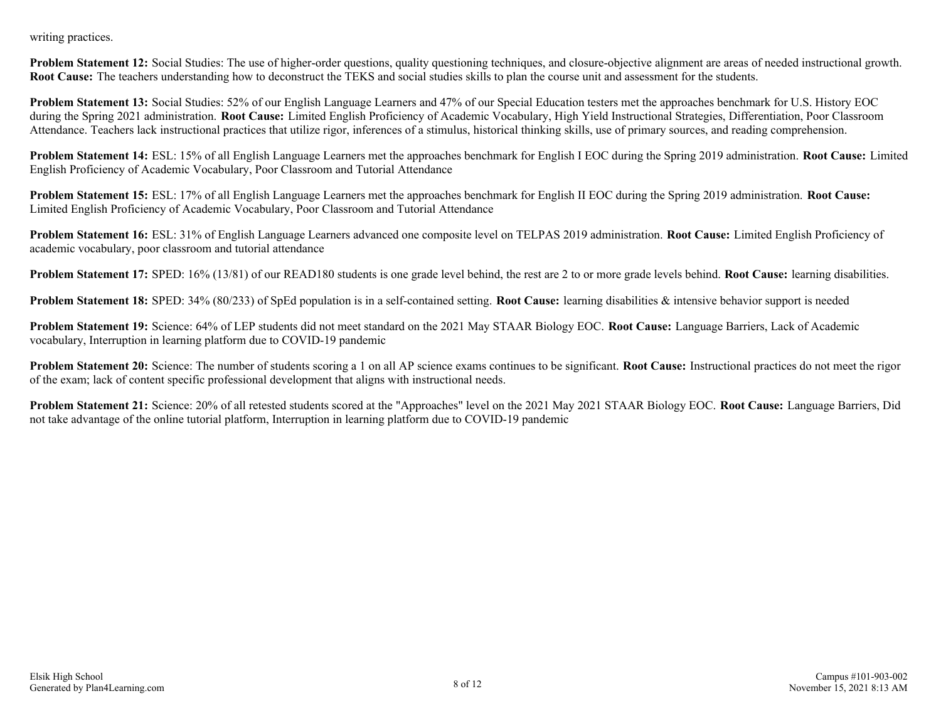writing practices.

**Problem Statement 12:** Social Studies: The use of higher-order questions, quality questioning techniques, and closure-objective alignment are areas of needed instructional growth. **Root Cause:** The teachers understanding how to deconstruct the TEKS and social studies skills to plan the course unit and assessment for the students.

**Problem Statement 13:** Social Studies: 52% of our English Language Learners and 47% of our Special Education testers met the approaches benchmark for U.S. History EOC during the Spring 2021 administration. **Root Cause:** Limited English Proficiency of Academic Vocabulary, High Yield Instructional Strategies, Differentiation, Poor Classroom Attendance. Teachers lack instructional practices that utilize rigor, inferences of a stimulus, historical thinking skills, use of primary sources, and reading comprehension.

**Problem Statement 14:** ESL: 15% of all English Language Learners met the approaches benchmark for English I EOC during the Spring 2019 administration. **Root Cause:** Limited English Proficiency of Academic Vocabulary, Poor Classroom and Tutorial Attendance

**Problem Statement 15:** ESL: 17% of all English Language Learners met the approaches benchmark for English II EOC during the Spring 2019 administration. **Root Cause:** Limited English Proficiency of Academic Vocabulary, Poor Classroom and Tutorial Attendance

**Problem Statement 16:** ESL: 31% of English Language Learners advanced one composite level on TELPAS 2019 administration. **Root Cause:** Limited English Proficiency of academic vocabulary, poor classroom and tutorial attendance

**Problem Statement 17:** SPED: 16% (13/81) of our READ180 students is one grade level behind, the rest are 2 to or more grade levels behind. **Root Cause:** learning disabilities.

**Problem Statement 18:** SPED: 34% (80/233) of SpEd population is in a self-contained setting. **Root Cause:** learning disabilities & intensive behavior support is needed

**Problem Statement 19:** Science: 64% of LEP students did not meet standard on the 2021 May STAAR Biology EOC. **Root Cause:** Language Barriers, Lack of Academic vocabulary, Interruption in learning platform due to COVID-19 pandemic

**Problem Statement 20:** Science: The number of students scoring a 1 on all AP science exams continues to be significant. **Root Cause:** Instructional practices do not meet the rigor of the exam; lack of content specific professional development that aligns with instructional needs.

**Problem Statement 21:** Science: 20% of all retested students scored at the "Approaches" level on the 2021 May 2021 STAAR Biology EOC. **Root Cause:** Language Barriers, Did not take advantage of the online tutorial platform, Interruption in learning platform due to COVID-19 pandemic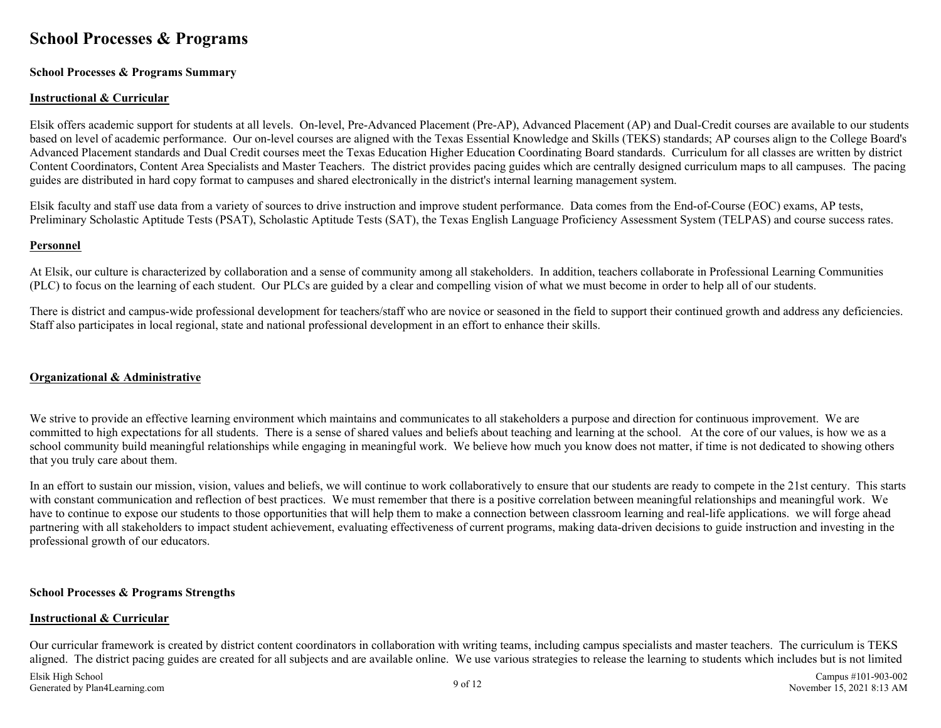# <span id="page-8-0"></span>**School Processes & Programs**

#### **School Processes & Programs Summary**

#### **Instructional & Curricular**

Elsik offers academic support for students at all levels. On-level, Pre-Advanced Placement (Pre-AP), Advanced Placement (AP) and Dual-Credit courses are available to our students based on level of academic performance. Our on-level courses are aligned with the Texas Essential Knowledge and Skills (TEKS) standards; AP courses align to the College Board's Advanced Placement standards and Dual Credit courses meet the Texas Education Higher Education Coordinating Board standards. Curriculum for all classes are written by district Content Coordinators, Content Area Specialists and Master Teachers. The district provides pacing guides which are centrally designed curriculum maps to all campuses. The pacing guides are distributed in hard copy format to campuses and shared electronically in the district's internal learning management system.

Elsik faculty and staff use data from a variety of sources to drive instruction and improve student performance. Data comes from the End-of-Course (EOC) exams, AP tests, Preliminary Scholastic Aptitude Tests (PSAT), Scholastic Aptitude Tests (SAT), the Texas English Language Proficiency Assessment System (TELPAS) and course success rates.

#### **Personnel**

At Elsik, our culture is characterized by collaboration and a sense of community among all stakeholders. In addition, teachers collaborate in Professional Learning Communities (PLC) to focus on the learning of each student. Our PLCs are guided by a clear and compelling vision of what we must become in order to help all of our students.

There is district and campus-wide professional development for teachers/staff who are novice or seasoned in the field to support their continued growth and address any deficiencies. Staff also participates in local regional, state and national professional development in an effort to enhance their skills.

#### **Organizational & Administrative**

We strive to provide an effective learning environment which maintains and communicates to all stakeholders a purpose and direction for continuous improvement. We are committed to high expectations for all students. There is a sense of shared values and beliefs about teaching and learning at the school. At the core of our values, is how we as a school community build meaningful relationships while engaging in meaningful work. We believe how much you know does not matter, if time is not dedicated to showing others that you truly care about them.

In an effort to sustain our mission, vision, values and beliefs, we will continue to work collaboratively to ensure that our students are ready to compete in the 21st century. This starts with constant communication and reflection of best practices. We must remember that there is a positive correlation between meaningful relationships and meaningful work. We have to continue to expose our students to those opportunities that will help them to make a connection between classroom learning and real-life applications. we will forge ahead partnering with all stakeholders to impact student achievement, evaluating effectiveness of current programs, making data-driven decisions to guide instruction and investing in the professional growth of our educators.

#### **School Processes & Programs Strengths**

#### **Instructional & Curricular**

Our curricular framework is created by district content coordinators in collaboration with writing teams, including campus specialists and master teachers. The curriculum is TEKS aligned. The district pacing guides are created for all subjects and are available online. We use various strategies to release the learning to students which includes but is not limited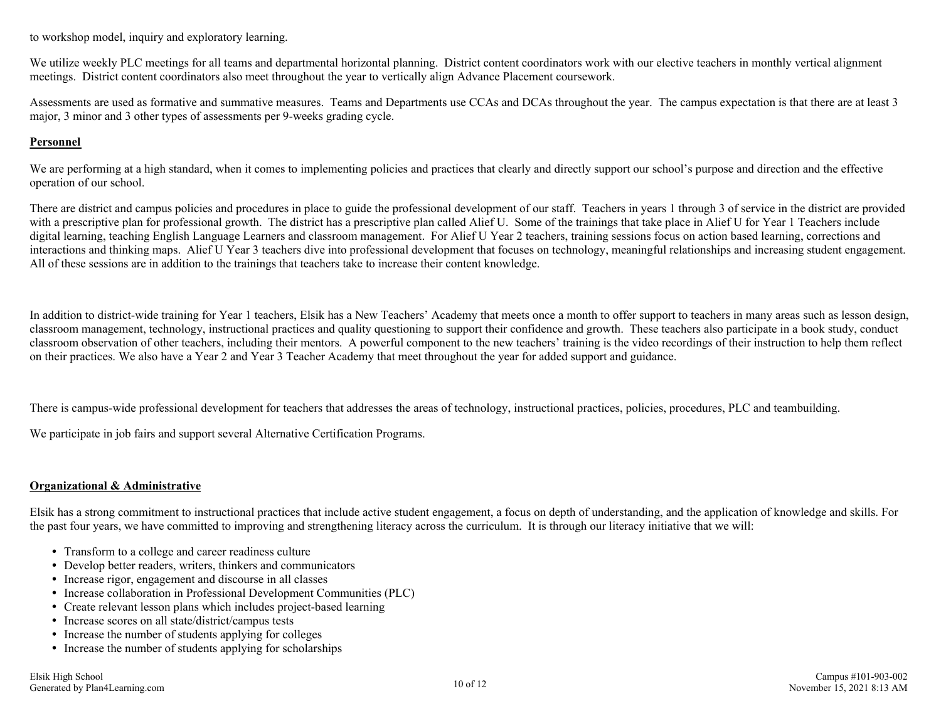to workshop model, inquiry and exploratory learning.

We utilize weekly PLC meetings for all teams and departmental horizontal planning. District content coordinators work with our elective teachers in monthly vertical alignment meetings. District content coordinators also meet throughout the year to vertically align Advance Placement coursework.

Assessments are used as formative and summative measures. Teams and Departments use CCAs and DCAs throughout the year. The campus expectation is that there are at least 3 major, 3 minor and 3 other types of assessments per 9-weeks grading cycle.

#### **Personnel**

We are performing at a high standard, when it comes to implementing policies and practices that clearly and directly support our school's purpose and direction and the effective operation of our school.

There are district and campus policies and procedures in place to guide the professional development of our staff. Teachers in years 1 through 3 of service in the district are provided with a prescriptive plan for professional growth. The district has a prescriptive plan called Alief U. Some of the trainings that take place in Alief U for Year 1 Teachers include digital learning, teaching English Language Learners and classroom management. For Alief U Year 2 teachers, training sessions focus on action based learning, corrections and interactions and thinking maps. Alief U Year 3 teachers dive into professional development that focuses on technology, meaningful relationships and increasing student engagement. All of these sessions are in addition to the trainings that teachers take to increase their content knowledge.

In addition to district-wide training for Year 1 teachers, Elsik has a New Teachers' Academy that meets once a month to offer support to teachers in many areas such as lesson design, classroom management, technology, instructional practices and quality questioning to support their confidence and growth. These teachers also participate in a book study, conduct classroom observation of other teachers, including their mentors. A powerful component to the new teachers' training is the video recordings of their instruction to help them reflect on their practices. We also have a Year 2 and Year 3 Teacher Academy that meet throughout the year for added support and guidance.

There is campus-wide professional development for teachers that addresses the areas of technology, instructional practices, policies, procedures, PLC and teambuilding.

We participate in job fairs and support several Alternative Certification Programs.

#### **Organizational & Administrative**

Elsik has a strong commitment to instructional practices that include active student engagement, a focus on depth of understanding, and the application of knowledge and skills. For the past four years, we have committed to improving and strengthening literacy across the curriculum. It is through our literacy initiative that we will:

- Transform to a college and career readiness culture
- Develop better readers, writers, thinkers and communicators
- Increase rigor, engagement and discourse in all classes
- Increase collaboration in Professional Development Communities (PLC)
- Create relevant lesson plans which includes project-based learning
- Increase scores on all state/district/campus tests
- Increase the number of students applying for colleges
- Increase the number of students applying for scholarships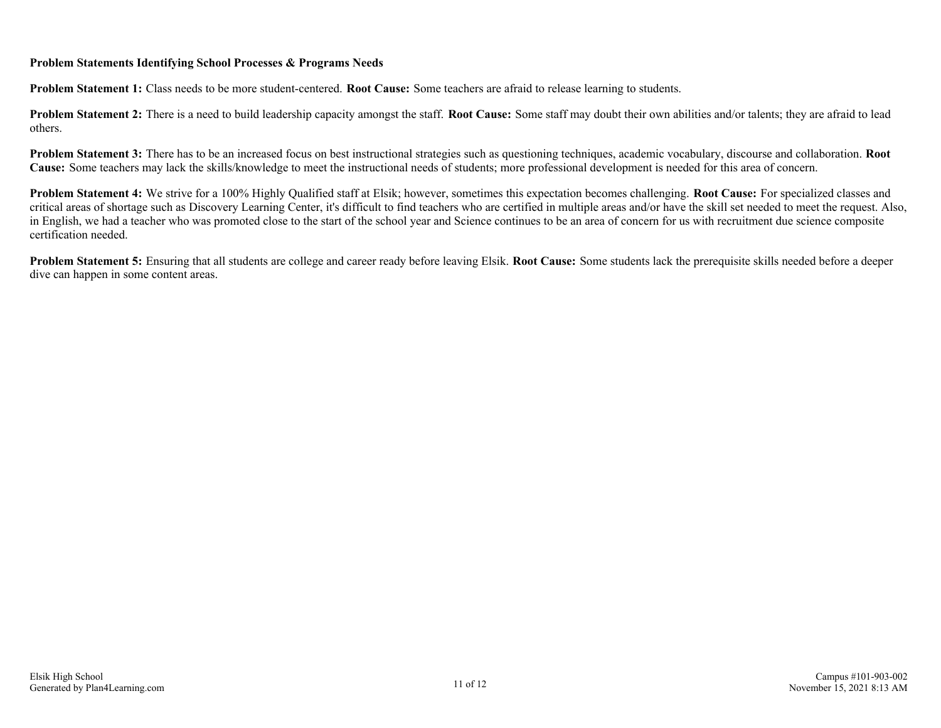### **Problem Statements Identifying School Processes & Programs Needs**

**Problem Statement 1:** Class needs to be more student-centered. **Root Cause:** Some teachers are afraid to release learning to students.

**Problem Statement 2:** There is a need to build leadership capacity amongst the staff. **Root Cause:** Some staff may doubt their own abilities and/or talents; they are afraid to lead others.

**Problem Statement 3:** There has to be an increased focus on best instructional strategies such as questioning techniques, academic vocabulary, discourse and collaboration. **Root Cause:** Some teachers may lack the skills/knowledge to meet the instructional needs of students; more professional development is needed for this area of concern.

**Problem Statement 4:** We strive for a 100% Highly Qualified staff at Elsik; however, sometimes this expectation becomes challenging. **Root Cause:** For specialized classes and critical areas of shortage such as Discovery Learning Center, it's difficult to find teachers who are certified in multiple areas and/or have the skill set needed to meet the request. Also, in English, we had a teacher who was promoted close to the start of the school year and Science continues to be an area of concern for us with recruitment due science composite certification needed.

**Problem Statement 5:** Ensuring that all students are college and career ready before leaving Elsik. **Root Cause:** Some students lack the prerequisite skills needed before a deeper dive can happen in some content areas.